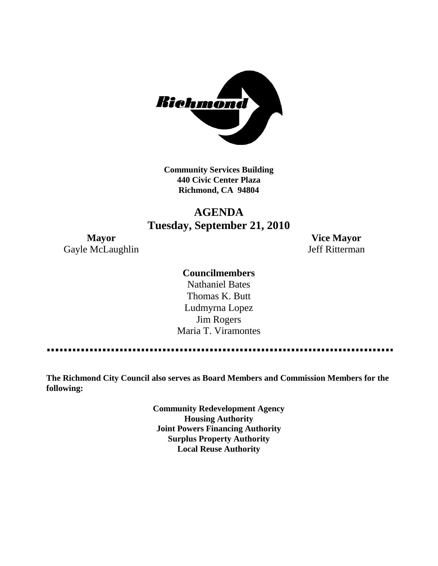

**Community Services Building 440 Civic Center Plaza Richmond, CA 94804**

# **AGENDA Tuesday, September 21, 2010**

Gayle McLaughlin Jeff Ritterman

**Mayor Vice Mayor**

## **Councilmembers**

Nathaniel Bates Thomas K. Butt Ludmyrna Lopez Jim Rogers Maria T. Viramontes

. . . . . . . . . . . 

**The Richmond City Council also serves as Board Members and Commission Members for the following:**

> **Community Redevelopment Agency Housing Authority Joint Powers Financing Authority Surplus Property Authority Local Reuse Authority**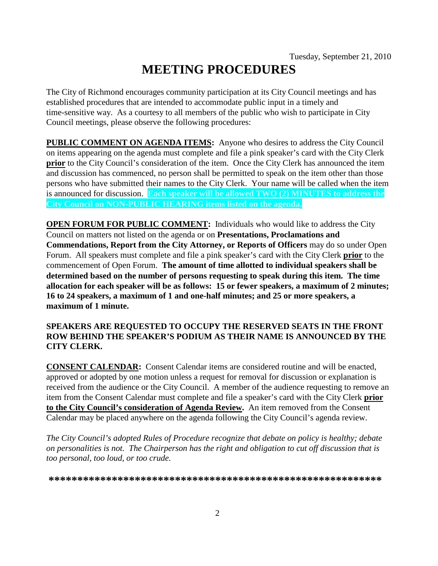# **MEETING PROCEDURES**

The City of Richmond encourages community participation at its City Council meetings and has established procedures that are intended to accommodate public input in a timely and time-sensitive way. As a courtesy to all members of the public who wish to participate in City Council meetings, please observe the following procedures:

**PUBLIC COMMENT ON AGENDA ITEMS:** Anyone who desires to address the City Council on items appearing on the agenda must complete and file a pink speaker's card with the City Clerk **prior** to the City Council's consideration of the item. Once the City Clerk has announced the item and discussion has commenced, no person shall be permitted to speak on the item other than those persons who have submitted their names to the City Clerk. Your name will be called when the item is announced for discussion. **Each speaker will be allowed TWO (2) MINUTES to address the City Council on NON-PUBLIC HEARING items listed on the agenda.**

**OPEN FORUM FOR PUBLIC COMMENT:** Individuals who would like to address the City Council on matters not listed on the agenda or on **Presentations, Proclamations and Commendations, Report from the City Attorney, or Reports of Officers** may do so under Open Forum. All speakers must complete and file a pink speaker's card with the City Clerk **prior** to the commencement of Open Forum. **The amount of time allotted to individual speakers shall be determined based on the number of persons requesting to speak during this item. The time allocation for each speaker will be as follows: 15 or fewer speakers, a maximum of 2 minutes; 16 to 24 speakers, a maximum of 1 and one-half minutes; and 25 or more speakers, a maximum of 1 minute.**

### **SPEAKERS ARE REQUESTED TO OCCUPY THE RESERVED SEATS IN THE FRONT ROW BEHIND THE SPEAKER'S PODIUM AS THEIR NAME IS ANNOUNCED BY THE CITY CLERK.**

**CONSENT CALENDAR:** Consent Calendar items are considered routine and will be enacted, approved or adopted by one motion unless a request for removal for discussion or explanation is received from the audience or the City Council. A member of the audience requesting to remove an item from the Consent Calendar must complete and file a speaker's card with the City Clerk **prior to the City Council's consideration of Agenda Review.** An item removed from the Consent Calendar may be placed anywhere on the agenda following the City Council's agenda review.

*The City Council's adopted Rules of Procedure recognize that debate on policy is healthy; debate on personalities is not. The Chairperson has the right and obligation to cut off discussion that is too personal, too loud, or too crude.*

**\*\*\*\*\*\*\*\*\*\*\*\*\*\*\*\*\*\*\*\*\*\*\*\*\*\*\*\*\*\*\*\*\*\*\*\*\*\*\*\*\*\*\*\*\*\*\*\*\*\*\*\*\*\*\*\*\*\***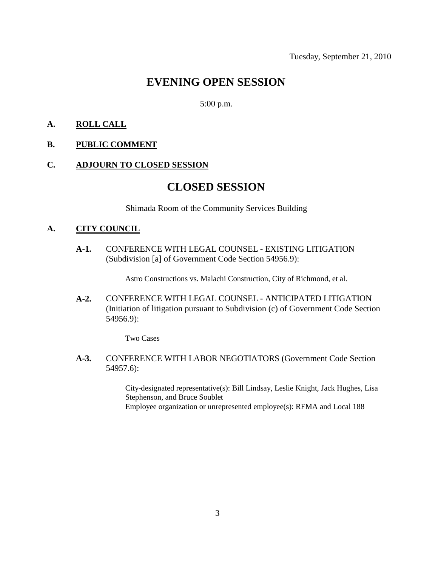# **EVENING OPEN SESSION**

5:00 p.m.

#### **A. ROLL CALL**

#### **B. PUBLIC COMMENT**

#### **C. ADJOURN TO CLOSED SESSION**

# **CLOSED SESSION**

Shimada Room of the Community Services Building

#### **A. CITY COUNCIL**

**A-1.** CONFERENCE WITH LEGAL COUNSEL - EXISTING LITIGATION (Subdivision [a] of Government Code Section 54956.9):

Astro Constructions vs. Malachi Construction, City of Richmond, et al.

**A-2.** CONFERENCE WITH LEGAL COUNSEL - ANTICIPATED LITIGATION (Initiation of litigation pursuant to Subdivision (c) of Government Code Section 54956.9):

Two Cases

**A-3.** CONFERENCE WITH LABOR NEGOTIATORS (Government Code Section 54957.6):

> City-designated representative(s): Bill Lindsay, Leslie Knight, Jack Hughes, Lisa Stephenson, and Bruce Soublet Employee organization or unrepresented employee(s): RFMA and Local 188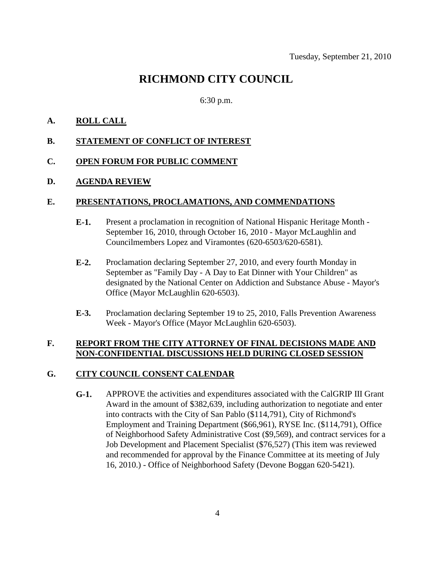# **RICHMOND CITY COUNCIL**

#### 6:30 p.m.

#### **A. ROLL CALL**

#### **B. STATEMENT OF CONFLICT OF INTEREST**

#### **C. OPEN FORUM FOR PUBLIC COMMENT**

#### **D. AGENDA REVIEW**

#### **E. PRESENTATIONS, PROCLAMATIONS, AND COMMENDATIONS**

- **E-1.** Present a proclamation in recognition of National Hispanic Heritage Month September 16, 2010, through October 16, 2010 - Mayor McLaughlin and Councilmembers Lopez and Viramontes (620-6503/620-6581).
- **E-2.** Proclamation declaring September 27, 2010, and every fourth Monday in September as "Family Day - A Day to Eat Dinner with Your Children" as designated by the National Center on Addiction and Substance Abuse - Mayor's Office (Mayor McLaughlin 620-6503).
- **E-3.** Proclamation declaring September 19 to 25, 2010, Falls Prevention Awareness Week - Mayor's Office (Mayor McLaughlin 620-6503).

#### **F. REPORT FROM THE CITY ATTORNEY OF FINAL DECISIONS MADE AND NON-CONFIDENTIAL DISCUSSIONS HELD DURING CLOSED SESSION**

#### **G. CITY COUNCIL CONSENT CALENDAR**

**G-1.** APPROVE the activities and expenditures associated with the CalGRIP III Grant Award in the amount of \$382,639, including authorization to negotiate and enter into contracts with the City of San Pablo (\$114,791), City of Richmond's Employment and Training Department (\$66,961), RYSE Inc. (\$114,791), Office of Neighborhood Safety Administrative Cost (\$9,569), and contract services for a Job Development and Placement Specialist (\$76,527) (This item was reviewed and recommended for approval by the Finance Committee at its meeting of July 16, 2010.) - Office of Neighborhood Safety (Devone Boggan 620-5421).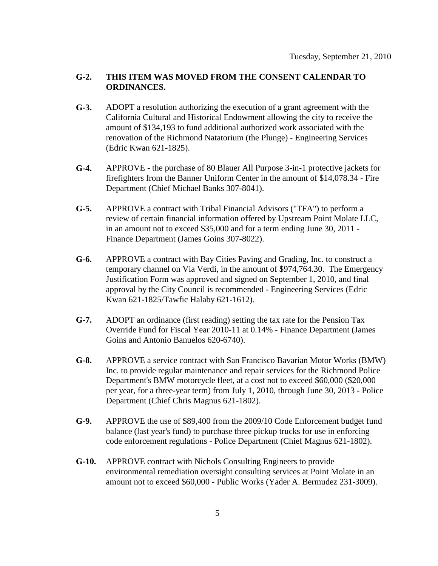#### **G-2. THIS ITEM WAS MOVED FROM THE CONSENT CALENDAR TO ORDINANCES.**

- **G-3.** ADOPT a resolution authorizing the execution of a grant agreement with the California Cultural and Historical Endowment allowing the city to receive the amount of \$134,193 to fund additional authorized work associated with the renovation of the Richmond Natatorium (the Plunge) - Engineering Services (Edric Kwan 621-1825).
- **G-4.** APPROVE the purchase of 80 Blauer All Purpose 3-in-1 protective jackets for firefighters from the Banner Uniform Center in the amount of \$14,078.34 - Fire Department (Chief Michael Banks 307-8041).
- **G-5.** APPROVE a contract with Tribal Financial Advisors ("TFA") to perform a review of certain financial information offered by Upstream Point Molate LLC, in an amount not to exceed \$35,000 and for a term ending June 30, 2011 - Finance Department (James Goins 307-8022).
- **G-6.** APPROVE a contract with Bay Cities Paving and Grading, Inc. to construct a temporary channel on Via Verdi, in the amount of \$974,764.30. The Emergency Justification Form was approved and signed on September 1, 2010, and final approval by the City Council is recommended - Engineering Services (Edric Kwan 621-1825/Tawfic Halaby 621-1612).
- **G-7.** ADOPT an ordinance (first reading) setting the tax rate for the Pension Tax Override Fund for Fiscal Year 2010-11 at 0.14% - Finance Department (James Goins and Antonio Banuelos 620-6740).
- **G-8.** APPROVE a service contract with San Francisco Bavarian Motor Works (BMW) Inc. to provide regular maintenance and repair services for the Richmond Police Department's BMW motorcycle fleet, at a cost not to exceed \$60,000 (\$20,000 per year, for a three-year term) from July 1, 2010, through June 30, 2013 - Police Department (Chief Chris Magnus 621-1802).
- **G-9.** APPROVE the use of \$89,400 from the 2009/10 Code Enforcement budget fund balance (last year's fund) to purchase three pickup trucks for use in enforcing code enforcement regulations - Police Department (Chief Magnus 621-1802).
- **G-10.** APPROVE contract with Nichols Consulting Engineers to provide environmental remediation oversight consulting services at Point Molate in an amount not to exceed \$60,000 - Public Works (Yader A. Bermudez 231-3009).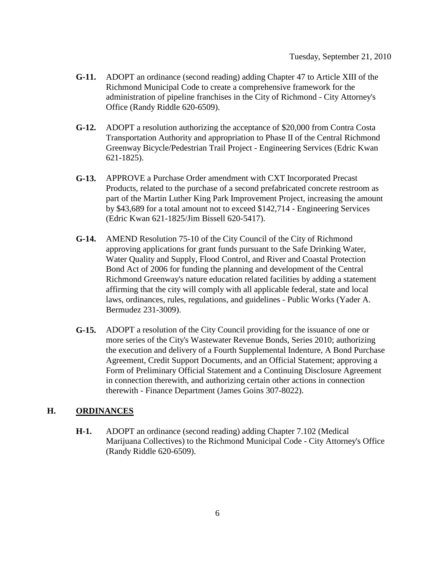- **G-11.** ADOPT an ordinance (second reading) adding Chapter 47 to Article XIII of the Richmond Municipal Code to create a comprehensive framework for the administration of pipeline franchises in the City of Richmond - City Attorney's Office (Randy Riddle 620-6509).
- **G-12.** ADOPT a resolution authorizing the acceptance of \$20,000 from Contra Costa Transportation Authority and appropriation to Phase II of the Central Richmond Greenway Bicycle/Pedestrian Trail Project - Engineering Services (Edric Kwan 621-1825).
- **G-13.** APPROVE a Purchase Order amendment with CXT Incorporated Precast Products, related to the purchase of a second prefabricated concrete restroom as part of the Martin Luther King Park Improvement Project, increasing the amount by \$43,689 for a total amount not to exceed \$142,714 - Engineering Services (Edric Kwan 621-1825/Jim Bissell 620-5417).
- **G-14.** AMEND Resolution 75-10 of the City Council of the City of Richmond approving applications for grant funds pursuant to the Safe Drinking Water, Water Quality and Supply, Flood Control, and River and Coastal Protection Bond Act of 2006 for funding the planning and development of the Central Richmond Greenway's nature education related facilities by adding a statement affirming that the city will comply with all applicable federal, state and local laws, ordinances, rules, regulations, and guidelines - Public Works (Yader A. Bermudez 231-3009).
- **G-15.** ADOPT a resolution of the City Council providing for the issuance of one or more series of the City's Wastewater Revenue Bonds, Series 2010; authorizing the execution and delivery of a Fourth Supplemental Indenture, A Bond Purchase Agreement, Credit Support Documents, and an Official Statement; approving a Form of Preliminary Official Statement and a Continuing Disclosure Agreement in connection therewith, and authorizing certain other actions in connection therewith - Finance Department (James Goins 307-8022).

#### **H. ORDINANCES**

**H-1.** ADOPT an ordinance (second reading) adding Chapter 7.102 (Medical Marijuana Collectives) to the Richmond Municipal Code - City Attorney's Office (Randy Riddle 620-6509).